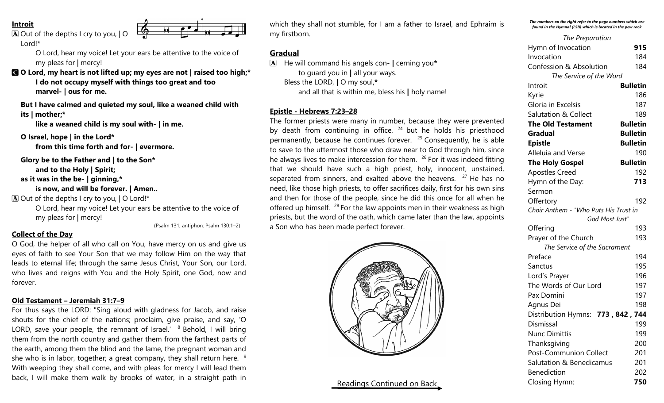#### **Introit**

 $\boxed{\mathbf{A}}$  Out of the depths I cry to you,  $\boxed{\mathbf{O}}$ 

Lord!\*

O Lord, hear my voice! Let your ears be attentive to the voice of my pleas for | mercy!

C **O Lord, my heart is not lifted up; my eyes are not | raised too high;\* I do not occupy myself with things too great and too marvel- | ous for me.**

**But I have calmed and quieted my soul, like a weaned child with its | mother;\***

**like a weaned child is my soul with- | in me.**

**O Israel, hope | in the Lord\* from this time forth and for- | evermore.**

**Glory be to the Father and | to the Son\* and to the Holy | Spirit;**

**as it was in the be- | ginning,\***

**is now, and will be forever. | Amen..**

 $\bf{A}$  Out of the depths I cry to you,  $\bf{I}$  O Lord!\*

O Lord, hear my voice! Let your ears be attentive to the voice of my pleas for | mercy!

(Psalm 131; antiphon: Psalm 130:1–2)

## **Collect of the Day**

O God, the helper of all who call on You, have mercy on us and give us eyes of faith to see Your Son that we may follow Him on the way that leads to eternal life; through the same Jesus Christ, Your Son, our Lord, who lives and reigns with You and the Holy Spirit, one God, now and forever.

# **Old Testament – Jeremiah 31:7–9**

For thus says the LORD: "Sing aloud with gladness for Jacob, and raise shouts for the chief of the nations; proclaim, give praise, and say, 'O LORD, save your people, the remnant of Israel.'  $8$  Behold, I will bring them from the north country and gather them from the farthest parts of the earth, among them the blind and the lame, the pregnant woman and she who is in labor, together; a great company, they shall return here.  $9$ With weeping they shall come, and with pleas for mercy I will lead them back, I will make them walk by brooks of water, in a straight path in

which they shall not stumble, for I am a father to Israel, and Ephraim is my firstborn.

## **Gradual**

A He will command his angels con- **|** cerning you**\*** to guard you in **|** all your ways. Bless the LORD, **|** O my soul,**\*** and all that is within me, bless his **|** holy name!

# **Epistle - Hebrews 7:23–28**

The former priests were many in number, because they were prevented by death from continuing in office,  $24$  but he holds his priesthood permanently, because he continues forever.  $25$  Consequently, he is able to save to the uttermost those who draw near to God through him, since he always lives to make intercession for them.  $26$  For it was indeed fitting that we should have such a high priest, holy, innocent, unstained, separated from sinners, and exalted above the heavens.  $27$  He has no need, like those high priests, to offer sacrifices daily, first for his own sins and then for those of the people, since he did this once for all when he offered up himself.  $28$  For the law appoints men in their weakness as high priests, but the word of the oath, which came later than the law, appoints a Son who has been made perfect forever.



# Readings Continued on Back

*The numbers on the right refer to the page numbers which are found in the Hymnal (LSB) which is located in the pew rack*

| The Preparation                       |                 |
|---------------------------------------|-----------------|
| Hymn of Invocation                    | 915             |
| Invocation                            | 184             |
| <b>Confession &amp; Absolution</b>    | 184             |
| The Service of the Word               |                 |
| Introit                               | <b>Bulletin</b> |
| Kyrie                                 | 186             |
| Gloria in Excelsis                    | 187             |
| <b>Salutation &amp; Collect</b>       | 189             |
| <b>The Old Testament</b>              | <b>Bulletin</b> |
| Gradual                               | <b>Bulletin</b> |
| <b>Epistle</b>                        | <b>Bulletin</b> |
| Alleluia and Verse                    | 190             |
| <b>The Holy Gospel</b>                | <b>Bulletin</b> |
| <b>Apostles Creed</b>                 | 192             |
| Hymn of the Day:                      | 713             |
| Sermon                                |                 |
| Offertory                             | 192             |
| Choir Anthem - "Who Puts His Trust in |                 |
| God Most Just"                        |                 |
| Offering                              | 193             |
| Prayer of the Church                  | 193             |
| The Service of the Sacrament          |                 |
| Preface                               | 194             |
| Sanctus                               | 195             |
| Lord's Prayer                         | 196             |
| The Words of Our Lord                 | 197             |
| Pax Domini                            | 197             |
| Agnus Dei                             | 198             |
| Distribution Hymns: 773, 842, 744     |                 |
| Dismissal                             | 199             |
| <b>Nunc Dimittis</b>                  | 199             |
| Thanksgiving                          | 200             |
| Post-Communion Collect                | 201             |
| Salutation & Benedicamus              | 201             |
| <b>Benediction</b>                    | 202             |
| Closing Hymn:                         | 750             |